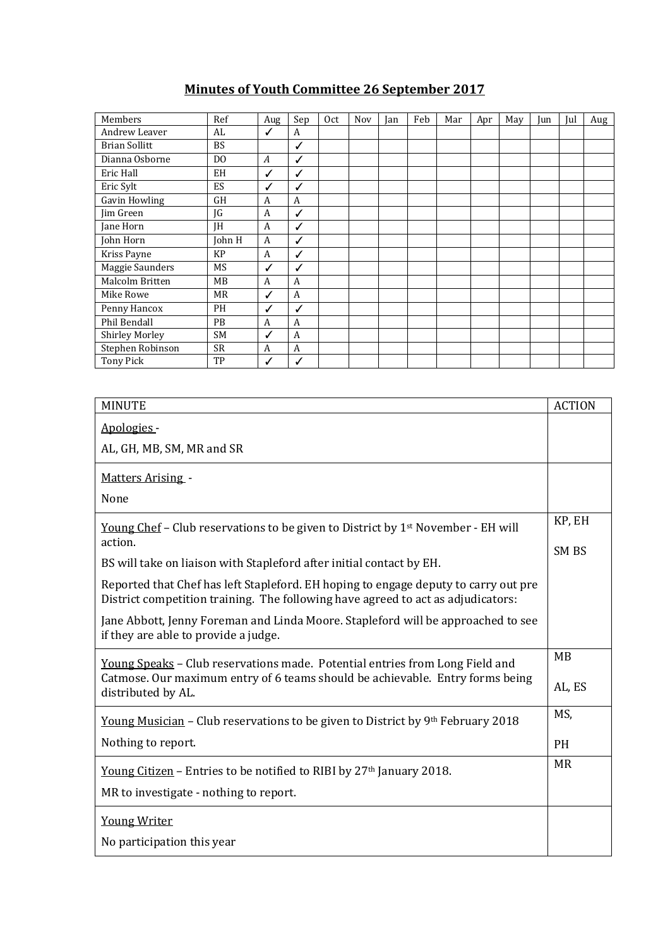## **Minutes of Youth Committee 26 September 2017**

| Members               | Ref            | Aug              | Sep          | Oct | Nov | Jan | Feb | Mar | Apr | May | Jun | Jul | Aug |
|-----------------------|----------------|------------------|--------------|-----|-----|-----|-----|-----|-----|-----|-----|-----|-----|
| Andrew Leaver         | AL             | ✓                | A            |     |     |     |     |     |     |     |     |     |     |
| <b>Brian Sollitt</b>  | <b>BS</b>      |                  | ✓            |     |     |     |     |     |     |     |     |     |     |
| Dianna Osborne        | D <sub>0</sub> | $\boldsymbol{A}$ | ✓            |     |     |     |     |     |     |     |     |     |     |
| Eric Hall             | EH             | ✓                | ✓            |     |     |     |     |     |     |     |     |     |     |
| Eric Sylt             | ES             | ✓                | ✓            |     |     |     |     |     |     |     |     |     |     |
| Gavin Howling         | <b>GH</b>      | A                | A            |     |     |     |     |     |     |     |     |     |     |
| Jim Green             | JG             | A                | ✓            |     |     |     |     |     |     |     |     |     |     |
| Jane Horn             | <b>IH</b>      | A                | $\checkmark$ |     |     |     |     |     |     |     |     |     |     |
| John Horn             | John H         | A                | ✓            |     |     |     |     |     |     |     |     |     |     |
| Kriss Payne           | <b>KP</b>      | A                | ✓            |     |     |     |     |     |     |     |     |     |     |
| Maggie Saunders       | MS             | ✓                | ✓            |     |     |     |     |     |     |     |     |     |     |
| Malcolm Britten       | MB             | A                | A            |     |     |     |     |     |     |     |     |     |     |
| Mike Rowe             | MR             | ✓                | A            |     |     |     |     |     |     |     |     |     |     |
| Penny Hancox          | PН             | ✓                | ✓            |     |     |     |     |     |     |     |     |     |     |
| Phil Bendall          | PB             | A                | A            |     |     |     |     |     |     |     |     |     |     |
| <b>Shirley Morley</b> | SM             | ✓                | A            |     |     |     |     |     |     |     |     |     |     |
| Stephen Robinson      | <b>SR</b>      | A                | A            |     |     |     |     |     |     |     |     |     |     |
| <b>Tony Pick</b>      | TP             | ✓                | $\checkmark$ |     |     |     |     |     |     |     |     |     |     |

| <b>MINUTE</b>                                                                                                                                                           | <b>ACTION</b> |  |  |
|-------------------------------------------------------------------------------------------------------------------------------------------------------------------------|---------------|--|--|
| Apologies -                                                                                                                                                             |               |  |  |
| AL, GH, MB, SM, MR and SR                                                                                                                                               |               |  |  |
| <b>Matters Arising -</b>                                                                                                                                                |               |  |  |
| None                                                                                                                                                                    |               |  |  |
| <u>Young Chef</u> – Club reservations to be given to District by $1st$ November - EH will<br>action.                                                                    | KP, EH        |  |  |
| BS will take on liaison with Stapleford after initial contact by EH.                                                                                                    | SM BS         |  |  |
| Reported that Chef has left Stapleford. EH hoping to engage deputy to carry out pre<br>District competition training. The following have agreed to act as adjudicators: |               |  |  |
| Jane Abbott, Jenny Foreman and Linda Moore. Stapleford will be approached to see<br>if they are able to provide a judge.                                                |               |  |  |
| Young Speaks - Club reservations made. Potential entries from Long Field and                                                                                            | MB            |  |  |
| Catmose. Our maximum entry of 6 teams should be achievable. Entry forms being<br>distributed by AL.                                                                     |               |  |  |
| <u>Young Musician</u> – Club reservations to be given to District by 9 <sup>th</sup> February 2018                                                                      | MS,           |  |  |
| Nothing to report.                                                                                                                                                      | <b>PH</b>     |  |  |
| Young Citizen - Entries to be notified to RIBI by 27 <sup>th</sup> January 2018.                                                                                        | <b>MR</b>     |  |  |
| MR to investigate - nothing to report.                                                                                                                                  |               |  |  |
| <b>Young Writer</b>                                                                                                                                                     |               |  |  |
| No participation this year                                                                                                                                              |               |  |  |